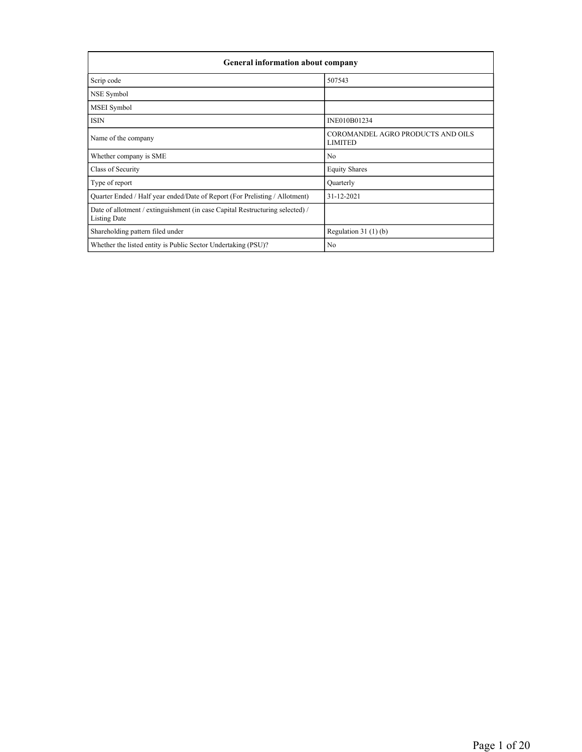| <b>General information about company</b>                                                             |                                                     |  |  |  |  |  |  |
|------------------------------------------------------------------------------------------------------|-----------------------------------------------------|--|--|--|--|--|--|
| Scrip code                                                                                           | 507543                                              |  |  |  |  |  |  |
| NSE Symbol                                                                                           |                                                     |  |  |  |  |  |  |
| MSEI Symbol                                                                                          |                                                     |  |  |  |  |  |  |
| <b>ISIN</b>                                                                                          | INE010B01234                                        |  |  |  |  |  |  |
| Name of the company                                                                                  | COROMANDEL AGRO PRODUCTS AND OILS<br><b>LIMITED</b> |  |  |  |  |  |  |
| Whether company is SME                                                                               | N <sub>0</sub>                                      |  |  |  |  |  |  |
| Class of Security                                                                                    | <b>Equity Shares</b>                                |  |  |  |  |  |  |
| Type of report                                                                                       | Quarterly                                           |  |  |  |  |  |  |
| Quarter Ended / Half year ended/Date of Report (For Prelisting / Allotment)                          | 31-12-2021                                          |  |  |  |  |  |  |
| Date of allotment / extinguishment (in case Capital Restructuring selected) /<br><b>Listing Date</b> |                                                     |  |  |  |  |  |  |
| Shareholding pattern filed under                                                                     | Regulation $31(1)(b)$                               |  |  |  |  |  |  |
| Whether the listed entity is Public Sector Undertaking (PSU)?                                        | No                                                  |  |  |  |  |  |  |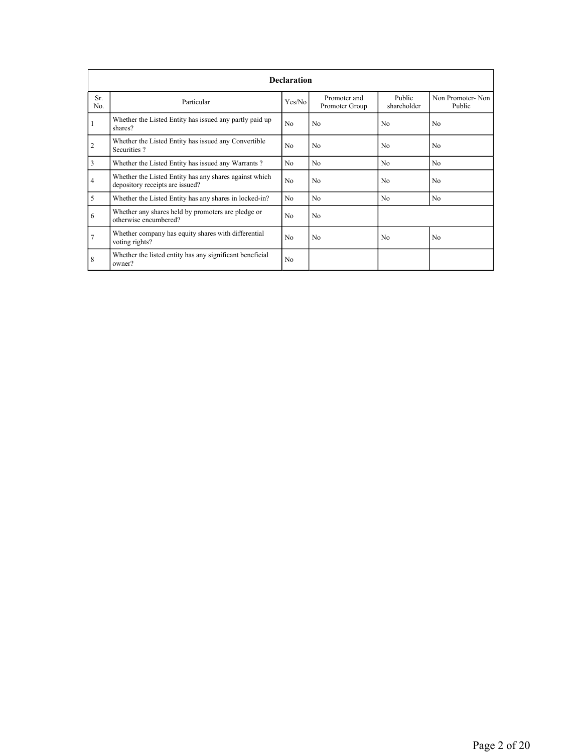|                | <b>Declaration</b>                                                                        |                |                                |                       |                            |  |  |  |  |
|----------------|-------------------------------------------------------------------------------------------|----------------|--------------------------------|-----------------------|----------------------------|--|--|--|--|
| Sr.<br>No.     | Particular                                                                                | Yes/No         | Promoter and<br>Promoter Group | Public<br>shareholder | Non Promoter-Non<br>Public |  |  |  |  |
|                | Whether the Listed Entity has issued any partly paid up<br>shares?                        | N <sub>o</sub> | No                             | No                    | No                         |  |  |  |  |
| $\overline{2}$ | Whether the Listed Entity has issued any Convertible<br>Securities?                       | N <sub>o</sub> | No                             | N <sub>0</sub>        | No                         |  |  |  |  |
| 3              | Whether the Listed Entity has issued any Warrants?                                        | N <sub>0</sub> | N <sub>0</sub>                 | N <sub>0</sub>        | N <sub>0</sub>             |  |  |  |  |
| 4              | Whether the Listed Entity has any shares against which<br>depository receipts are issued? | N <sub>o</sub> | No                             | N <sub>0</sub>        | No                         |  |  |  |  |
| 5              | Whether the Listed Entity has any shares in locked-in?                                    | N <sub>0</sub> | No                             | N <sub>0</sub>        | No                         |  |  |  |  |
| 6              | Whether any shares held by promoters are pledge or<br>otherwise encumbered?               | No             | No                             |                       |                            |  |  |  |  |
| $\overline{7}$ | Whether company has equity shares with differential<br>voting rights?                     | N <sub>0</sub> | No                             | N <sub>0</sub>        | No                         |  |  |  |  |
| 8              | Whether the listed entity has any significant beneficial<br>owner?                        | No             |                                |                       |                            |  |  |  |  |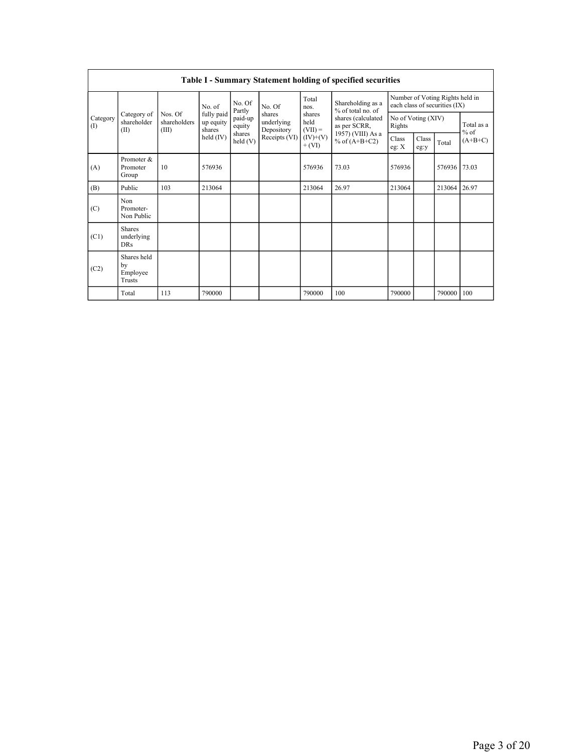|                 | <b>Table I - Summary Statement holding of specified securities</b> |                                  |                                   |                   |                                                               |                                                       |                                                                                                                      |                                                                  |               |        |                     |  |
|-----------------|--------------------------------------------------------------------|----------------------------------|-----------------------------------|-------------------|---------------------------------------------------------------|-------------------------------------------------------|----------------------------------------------------------------------------------------------------------------------|------------------------------------------------------------------|---------------|--------|---------------------|--|
| Category<br>(1) | Category of<br>shareholder<br>(II)                                 | Nos. Of<br>shareholders<br>(III) | No. of                            | No. Of<br>Partly  | No. Of                                                        | Total<br>nos.                                         | Shareholding as a<br>% of total no. of<br>shares (calculated<br>as per SCRR,<br>1957) (VIII) As a<br>% of $(A+B+C2)$ | Number of Voting Rights held in<br>each class of securities (IX) |               |        |                     |  |
|                 |                                                                    |                                  | fully paid<br>up equity<br>shares | paid-up<br>equity | shares<br>underlying<br>Depository<br>shares<br>Receipts (VI) | shares<br>held<br>$(VII) =$<br>$(IV)+(V)$<br>$+ (VI)$ |                                                                                                                      | No of Voting (XIV)<br>Rights                                     |               |        | Total as a          |  |
|                 |                                                                    |                                  | held $(IV)$                       | held(V)           |                                                               |                                                       |                                                                                                                      | Class<br>eg: $X$                                                 | Class<br>eg:y | Total  | $%$ of<br>$(A+B+C)$ |  |
| (A)             | Promoter &<br>Promoter<br>Group                                    | 10                               | 576936                            |                   |                                                               | 576936                                                | 73.03                                                                                                                | 576936                                                           |               | 576936 | 73.03               |  |
| (B)             | Public                                                             | 103                              | 213064                            |                   |                                                               | 213064                                                | 26.97                                                                                                                | 213064                                                           |               | 213064 | 26.97               |  |
| (C)             | Non<br>Promoter-<br>Non Public                                     |                                  |                                   |                   |                                                               |                                                       |                                                                                                                      |                                                                  |               |        |                     |  |
| (C1)            | <b>Shares</b><br>underlying<br><b>DRs</b>                          |                                  |                                   |                   |                                                               |                                                       |                                                                                                                      |                                                                  |               |        |                     |  |
| (C2)            | Shares held<br>by<br>Employee<br>Trusts                            |                                  |                                   |                   |                                                               |                                                       |                                                                                                                      |                                                                  |               |        |                     |  |
|                 | Total                                                              | 113                              | 790000                            |                   |                                                               | 790000                                                | 100                                                                                                                  | 790000                                                           |               | 790000 | 100                 |  |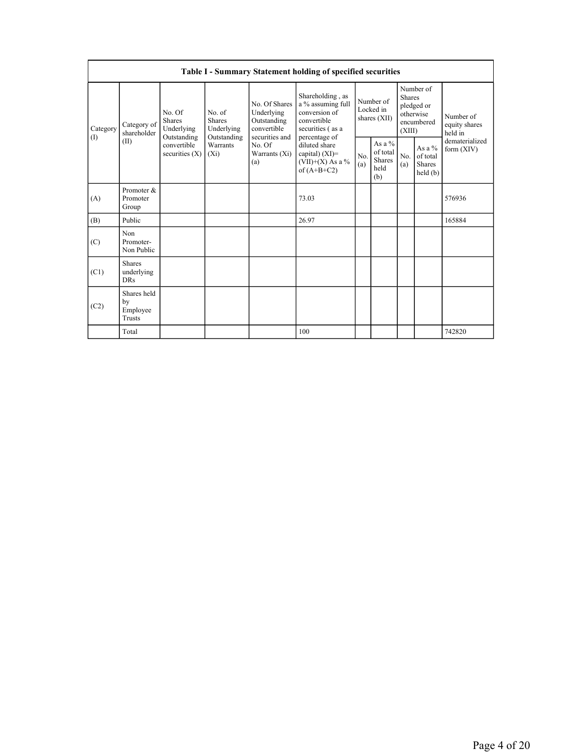| Table I - Summary Statement holding of specified securities |                                                |                                                        |                                                      |                                                                                                               |                                                                                                            |                                          |                                                       |                                                                               |                                         |                                       |
|-------------------------------------------------------------|------------------------------------------------|--------------------------------------------------------|------------------------------------------------------|---------------------------------------------------------------------------------------------------------------|------------------------------------------------------------------------------------------------------------|------------------------------------------|-------------------------------------------------------|-------------------------------------------------------------------------------|-----------------------------------------|---------------------------------------|
| Category<br>(1)                                             | Category of<br>shareholder<br>(II)             | No. Of<br><b>Shares</b><br>Underlying<br>Outstanding   | No. of<br><b>Shares</b><br>Underlying<br>Outstanding | No. Of Shares<br>Underlying<br>Outstanding<br>convertible<br>securities and<br>No. Of<br>Warrants (Xi)<br>(a) | Shareholding, as<br>a % assuming full<br>conversion of<br>convertible<br>securities (as a<br>percentage of | Number of<br>Locked in<br>shares $(XII)$ |                                                       | Number of<br><b>Shares</b><br>pledged or<br>otherwise<br>encumbered<br>(XIII) |                                         | Number of<br>equity shares<br>held in |
|                                                             |                                                | convertible<br>Warrants<br>securities $(X)$<br>$(X_i)$ |                                                      |                                                                                                               | diluted share<br>capital) $(XI)$ =<br>(VII)+(X) As a $\%$<br>of $(A+B+C2)$                                 | N <sub>0</sub><br>(a)                    | As a $\%$<br>of total<br><b>Shares</b><br>held<br>(b) | No.<br>(a)                                                                    | As a %<br>of total<br>Shares<br>held(b) | dematerialized<br>form $(XIV)$        |
| (A)                                                         | Promoter &<br>Promoter<br>Group                |                                                        |                                                      |                                                                                                               | 73.03                                                                                                      |                                          |                                                       |                                                                               |                                         | 576936                                |
| (B)                                                         | Public                                         |                                                        |                                                      |                                                                                                               | 26.97                                                                                                      |                                          |                                                       |                                                                               |                                         | 165884                                |
| (C)                                                         | Non<br>Promoter-<br>Non Public                 |                                                        |                                                      |                                                                                                               |                                                                                                            |                                          |                                                       |                                                                               |                                         |                                       |
| (C1)                                                        | <b>Shares</b><br>underlying<br><b>DRs</b>      |                                                        |                                                      |                                                                                                               |                                                                                                            |                                          |                                                       |                                                                               |                                         |                                       |
| (C2)                                                        | Shares held<br>by<br>Employee<br><b>Trusts</b> |                                                        |                                                      |                                                                                                               |                                                                                                            |                                          |                                                       |                                                                               |                                         |                                       |
|                                                             | Total                                          |                                                        |                                                      |                                                                                                               | 100                                                                                                        |                                          |                                                       |                                                                               |                                         | 742820                                |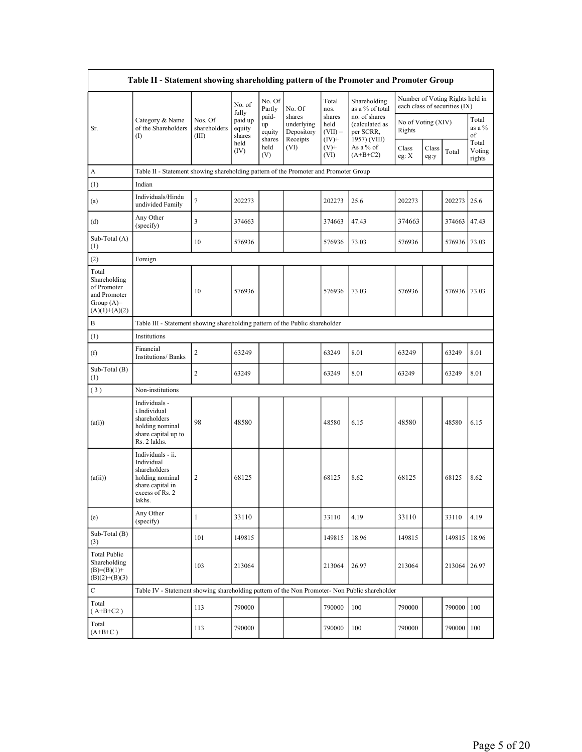| Table II - Statement showing shareholding pattern of the Promoter and Promoter Group    |                                                                                                                     |                                  |                                      |                                 |                                                |                                         |                                                              |                              |               |                                                                  |                           |
|-----------------------------------------------------------------------------------------|---------------------------------------------------------------------------------------------------------------------|----------------------------------|--------------------------------------|---------------------------------|------------------------------------------------|-----------------------------------------|--------------------------------------------------------------|------------------------------|---------------|------------------------------------------------------------------|---------------------------|
|                                                                                         |                                                                                                                     |                                  | No. of                               | No. Of<br>Partly                | No. Of                                         | Total<br>nos.                           | Shareholding<br>as a % of total                              |                              |               | Number of Voting Rights held in<br>each class of securities (IX) |                           |
| Sr.                                                                                     | Category & Name<br>of the Shareholders<br>$\rm(D)$                                                                  | Nos. Of<br>shareholders<br>(III) | fully<br>paid up<br>equity<br>shares | paid-<br>up<br>equity<br>shares | shares<br>underlying<br>Depository<br>Receipts | shares<br>held<br>$(VII) =$<br>$(IV)$ + | no. of shares<br>(calculated as<br>per SCRR,<br>1957) (VIII) | No of Voting (XIV)<br>Rights |               |                                                                  | Total<br>as a %<br>of     |
|                                                                                         |                                                                                                                     |                                  | held<br>(IV)                         | held<br>(V)                     | (VI)                                           | $(V)$ +<br>(VI)                         | As a % of<br>$(A+B+C2)$                                      | Class<br>eg: X               | Class<br>eg:y | Total                                                            | Total<br>Voting<br>rights |
| A                                                                                       | Table II - Statement showing shareholding pattern of the Promoter and Promoter Group                                |                                  |                                      |                                 |                                                |                                         |                                                              |                              |               |                                                                  |                           |
| (1)                                                                                     | Indian                                                                                                              |                                  |                                      |                                 |                                                |                                         |                                                              |                              |               |                                                                  |                           |
| (a)                                                                                     | Individuals/Hindu<br>undivided Family                                                                               | 7                                | 202273                               |                                 |                                                | 202273                                  | 25.6                                                         | 202273                       |               | 202273                                                           | 25.6                      |
| (d)                                                                                     | Any Other<br>(specify)                                                                                              | 3                                | 374663                               |                                 |                                                | 374663                                  | 47.43                                                        | 374663                       |               | 374663                                                           | 47.43                     |
| Sub-Total (A)<br>(1)                                                                    |                                                                                                                     | 10                               | 576936                               |                                 |                                                | 576936                                  | 73.03                                                        | 576936                       |               | 576936                                                           | 73.03                     |
| (2)                                                                                     | Foreign                                                                                                             |                                  |                                      |                                 |                                                |                                         |                                                              |                              |               |                                                                  |                           |
| Total<br>Shareholding<br>of Promoter<br>and Promoter<br>Group $(A)=$<br>$(A)(1)+(A)(2)$ |                                                                                                                     | 10                               | 576936                               |                                 |                                                | 576936                                  | 73.03                                                        | 576936                       |               | 576936                                                           | 73.03                     |
| B                                                                                       | Table III - Statement showing shareholding pattern of the Public shareholder                                        |                                  |                                      |                                 |                                                |                                         |                                                              |                              |               |                                                                  |                           |
| (1)                                                                                     | Institutions                                                                                                        |                                  |                                      |                                 |                                                |                                         |                                                              |                              |               |                                                                  |                           |
| (f)                                                                                     | Financial<br>Institutions/ Banks                                                                                    | 2                                | 63249                                |                                 |                                                | 63249                                   | 8.01                                                         | 63249                        |               | 63249                                                            | 8.01                      |
| Sub-Total (B)<br>(1)                                                                    |                                                                                                                     | $\mathbf{2}$                     | 63249                                |                                 |                                                | 63249                                   | 8.01                                                         | 63249                        |               | 63249                                                            | 8.01                      |
| (3)                                                                                     | Non-institutions                                                                                                    |                                  |                                      |                                 |                                                |                                         |                                                              |                              |               |                                                                  |                           |
| (a(i))                                                                                  | Individuals -<br>i.Individual<br>shareholders<br>holding nominal<br>share capital up to<br>Rs. 2 lakhs.             | 98                               | 48580                                |                                 |                                                | 48580                                   | 6.15                                                         | 48580                        |               | 48580                                                            | 6.15                      |
| (a(ii))                                                                                 | Individuals - ii.<br>Individual<br>shareholders<br>holding nominal<br>share capital in<br>excess of Rs. 2<br>lakhs. | 2                                | 68125                                |                                 |                                                | 68125                                   | 8.62                                                         | 68125                        |               | 68125                                                            | 8.62                      |
| (e)                                                                                     | Any Other<br>(specify)                                                                                              | $\mathbf{1}$                     | 33110                                |                                 |                                                | 33110                                   | 4.19                                                         | 33110                        |               | 33110                                                            | 4.19                      |
| Sub-Total (B)<br>(3)                                                                    |                                                                                                                     | 101                              | 149815                               |                                 |                                                | 149815                                  | 18.96                                                        | 149815                       |               | 149815                                                           | 18.96                     |
| <b>Total Public</b><br>Shareholding<br>$(B)=(B)(1)+$<br>$(B)(2)+(B)(3)$                 |                                                                                                                     | 103                              | 213064                               |                                 |                                                | 213064                                  | 26.97                                                        | 213064                       |               | 213064                                                           | 26.97                     |
| $\mathbf C$                                                                             | Table IV - Statement showing shareholding pattern of the Non Promoter- Non Public shareholder                       |                                  |                                      |                                 |                                                |                                         |                                                              |                              |               |                                                                  |                           |
| Total<br>$(A+B+C2)$                                                                     |                                                                                                                     | 113                              | 790000                               |                                 |                                                | 790000                                  | 100                                                          | 790000                       |               | 790000                                                           | 100                       |
| Total<br>$(A+B+C)$                                                                      |                                                                                                                     | 113                              | 790000                               |                                 |                                                | 790000                                  | 100                                                          | 790000                       |               | 790000                                                           | 100                       |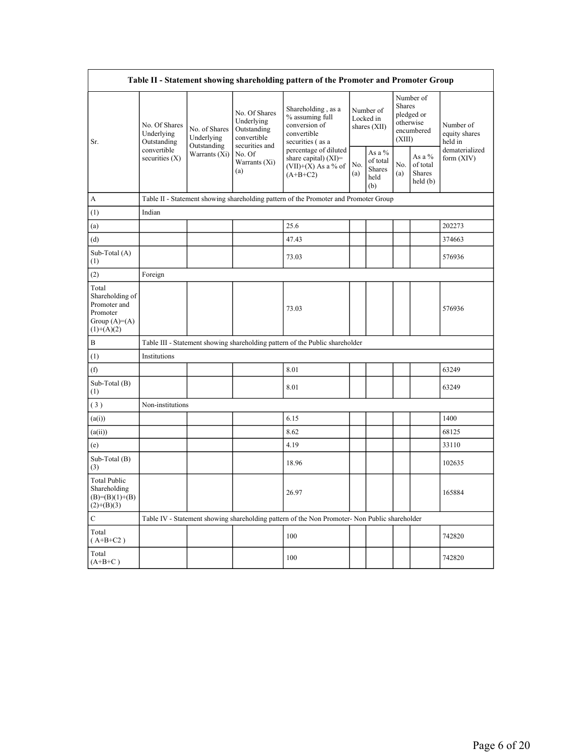| Table II - Statement showing shareholding pattern of the Promoter and Promoter Group    |                                                                               |                                                             |                                                                                                               |                                                                                               |                                        |                                             |                                                                        |                                           |                                       |
|-----------------------------------------------------------------------------------------|-------------------------------------------------------------------------------|-------------------------------------------------------------|---------------------------------------------------------------------------------------------------------------|-----------------------------------------------------------------------------------------------|----------------------------------------|---------------------------------------------|------------------------------------------------------------------------|-------------------------------------------|---------------------------------------|
| Sr.                                                                                     | No. Of Shares<br>Underlying<br>Outstanding<br>convertible<br>securities $(X)$ | No. of Shares<br>Underlying<br>Outstanding<br>Warrants (Xi) | No. Of Shares<br>Underlying<br>Outstanding<br>convertible<br>securities and<br>No. Of<br>Warrants (Xi)<br>(a) | Shareholding, as a<br>% assuming full<br>conversion of<br>convertible<br>securities (as a     | Number of<br>Locked in<br>shares (XII) |                                             | Number of<br>Shares<br>pledged or<br>otherwise<br>encumbered<br>(XIII) |                                           | Number of<br>equity shares<br>held in |
|                                                                                         |                                                                               |                                                             |                                                                                                               | percentage of diluted<br>share capital) $(XI)$ =<br>$(VII)+(X)$ As a % of<br>$(A+B+C2)$       | No.<br>(a)                             | As a %<br>of total<br>Shares<br>held<br>(b) | No.<br>(a)                                                             | As a $%$<br>of total<br>Shares<br>held(b) | dematerialized<br>form $(XIV)$        |
| А                                                                                       |                                                                               |                                                             |                                                                                                               | Table II - Statement showing shareholding pattern of the Promoter and Promoter Group          |                                        |                                             |                                                                        |                                           |                                       |
| (1)                                                                                     | Indian                                                                        |                                                             |                                                                                                               |                                                                                               |                                        |                                             |                                                                        |                                           |                                       |
| (a)                                                                                     |                                                                               |                                                             |                                                                                                               | 25.6                                                                                          |                                        |                                             |                                                                        |                                           | 202273                                |
| (d)                                                                                     |                                                                               |                                                             |                                                                                                               | 47.43                                                                                         |                                        |                                             |                                                                        |                                           | 374663                                |
| Sub-Total (A)<br>(1)                                                                    |                                                                               |                                                             |                                                                                                               | 73.03                                                                                         |                                        |                                             |                                                                        |                                           | 576936                                |
| (2)                                                                                     | Foreign                                                                       |                                                             |                                                                                                               |                                                                                               |                                        |                                             |                                                                        |                                           |                                       |
| Total<br>Shareholding of<br>Promoter and<br>Promoter<br>Group $(A)=(A)$<br>$(1)+(A)(2)$ |                                                                               |                                                             |                                                                                                               | 73.03                                                                                         |                                        |                                             |                                                                        |                                           | 576936                                |
| B                                                                                       |                                                                               |                                                             |                                                                                                               | Table III - Statement showing shareholding pattern of the Public shareholder                  |                                        |                                             |                                                                        |                                           |                                       |
| (1)                                                                                     | Institutions                                                                  |                                                             |                                                                                                               |                                                                                               |                                        |                                             |                                                                        |                                           |                                       |
| (f)                                                                                     |                                                                               |                                                             |                                                                                                               | 8.01                                                                                          |                                        |                                             |                                                                        |                                           | 63249                                 |
| Sub-Total (B)<br>(1)                                                                    |                                                                               |                                                             |                                                                                                               | 8.01                                                                                          |                                        |                                             |                                                                        |                                           | 63249                                 |
| (3)                                                                                     | Non-institutions                                                              |                                                             |                                                                                                               |                                                                                               |                                        |                                             |                                                                        |                                           |                                       |
| (a(i))                                                                                  |                                                                               |                                                             |                                                                                                               | 6.15                                                                                          |                                        |                                             |                                                                        |                                           | 1400                                  |
| (a(ii))                                                                                 |                                                                               |                                                             |                                                                                                               | 8.62                                                                                          |                                        |                                             |                                                                        |                                           | 68125                                 |
| (e)                                                                                     |                                                                               |                                                             |                                                                                                               | 4.19                                                                                          |                                        |                                             |                                                                        |                                           | 33110                                 |
| Sub-Total (B)<br>(3)                                                                    |                                                                               |                                                             |                                                                                                               | 18.96                                                                                         |                                        |                                             |                                                                        |                                           | 102635                                |
| <b>Total Public</b><br>Shareholding<br>$(B)=(B)(1)+(B)$<br>$(2)+(B)(3)$                 |                                                                               |                                                             |                                                                                                               | 26.97                                                                                         |                                        |                                             |                                                                        |                                           | 165884                                |
| $\mathbf C$                                                                             |                                                                               |                                                             |                                                                                                               | Table IV - Statement showing shareholding pattern of the Non Promoter- Non Public shareholder |                                        |                                             |                                                                        |                                           |                                       |
| Total<br>$(A+B+C2)$                                                                     |                                                                               |                                                             |                                                                                                               | 100                                                                                           |                                        |                                             |                                                                        |                                           | 742820                                |
| Total<br>$(A+B+C)$                                                                      |                                                                               |                                                             |                                                                                                               | 100                                                                                           |                                        |                                             |                                                                        |                                           | 742820                                |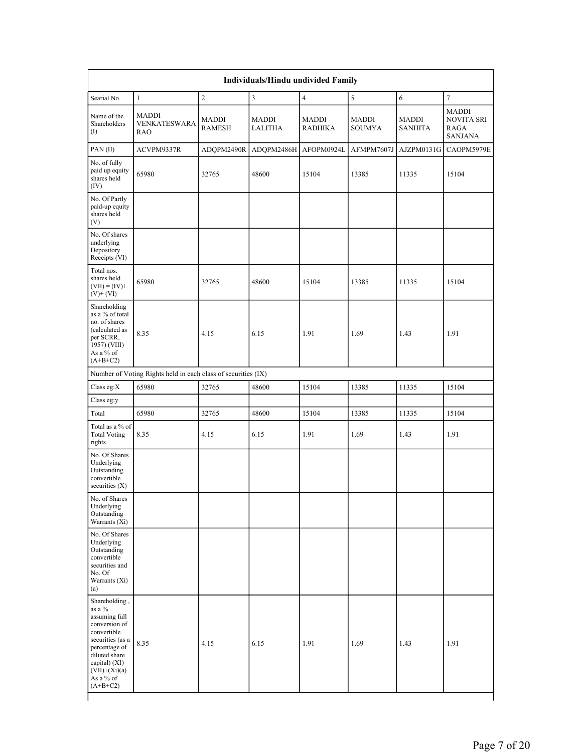|                                                                                                                                                                                                |                                                               |                               | Individuals/Hindu undivided Family |                                |                        |                                |                                                             |
|------------------------------------------------------------------------------------------------------------------------------------------------------------------------------------------------|---------------------------------------------------------------|-------------------------------|------------------------------------|--------------------------------|------------------------|--------------------------------|-------------------------------------------------------------|
| Searial No.                                                                                                                                                                                    | $\mathbf{1}$                                                  | $\mathbf{2}$                  | $\mathfrak{Z}$                     | $\overline{4}$                 | $\sqrt{5}$             | 6                              | 7                                                           |
| Name of the<br>Shareholders<br>$\rm (I)$                                                                                                                                                       | <b>MADDI</b><br><b>VENKATESWARA</b><br>RAO                    | <b>MADDI</b><br><b>RAMESH</b> | <b>MADDI</b><br><b>LALITHA</b>     | <b>MADDI</b><br><b>RADHIKA</b> | MADDI<br><b>SOUMYA</b> | <b>MADDI</b><br><b>SANHITA</b> | <b>MADDI</b><br><b>NOVITA SRI</b><br>RAGA<br><b>SANJANA</b> |
| PAN(II)                                                                                                                                                                                        | ACVPM9337R                                                    | ADQPM2490R                    | ADQPM2486H                         | AFOPM0924L                     | AFMPM7607J             | AJZPM0131G                     | CAOPM5979E                                                  |
| No. of fully<br>paid up equity<br>shares held<br>(IV)                                                                                                                                          | 65980                                                         | 32765                         | 48600                              | 15104                          | 13385                  | 11335                          | 15104                                                       |
| No. Of Partly<br>paid-up equity<br>shares held<br>(V)                                                                                                                                          |                                                               |                               |                                    |                                |                        |                                |                                                             |
| No. Of shares<br>underlying<br>Depository<br>Receipts (VI)                                                                                                                                     |                                                               |                               |                                    |                                |                        |                                |                                                             |
| Total nos.<br>shares held<br>$(VII) = (IV) +$<br>$(V)$ + $(VI)$                                                                                                                                | 65980                                                         | 32765                         | 48600                              | 15104                          | 13385                  | 11335                          | 15104                                                       |
| Shareholding<br>as a % of total<br>no. of shares<br>(calculated as<br>per SCRR,<br>1957) (VIII)<br>As a % of<br>$(A+B+C2)$                                                                     | 8.35                                                          | 4.15                          | 6.15                               | 1.91                           | 1.69                   | 1.43                           | 1.91                                                        |
|                                                                                                                                                                                                | Number of Voting Rights held in each class of securities (IX) |                               |                                    |                                |                        |                                |                                                             |
| Class eg: $X$                                                                                                                                                                                  | 65980                                                         | 32765                         | 48600                              | 15104                          | 13385                  | 11335                          | 15104                                                       |
| Class eg:y                                                                                                                                                                                     |                                                               |                               |                                    |                                |                        |                                |                                                             |
| Total                                                                                                                                                                                          | 65980                                                         | 32765                         | 48600                              | 15104                          | 13385                  | 11335                          | 15104                                                       |
| Total as a % of<br><b>Total Voting</b><br>rights                                                                                                                                               | 8.35                                                          | 4.15                          | 6.15                               | 1.91                           | 1.69                   | 1.43                           | 1.91                                                        |
| No. Of Shares<br>Underlying<br>Outstanding<br>convertible<br>securities $(X)$                                                                                                                  |                                                               |                               |                                    |                                |                        |                                |                                                             |
| No. of Shares<br>Underlying<br>Outstanding<br>Warrants (Xi)                                                                                                                                    |                                                               |                               |                                    |                                |                        |                                |                                                             |
| No. Of Shares<br>Underlying<br>Outstanding<br>convertible<br>securities and<br>No. Of<br>Warrants (Xi)<br>(a)                                                                                  |                                                               |                               |                                    |                                |                        |                                |                                                             |
| Shareholding,<br>as a %<br>assuming full<br>conversion of<br>convertible<br>securities (as a<br>percentage of<br>diluted share<br>capital) (XI)=<br>$(VII)+(Xi)(a)$<br>As a % of<br>$(A+B+C2)$ | 8.35                                                          | 4.15                          | 6.15                               | 1.91                           | 1.69                   | 1.43                           | 1.91                                                        |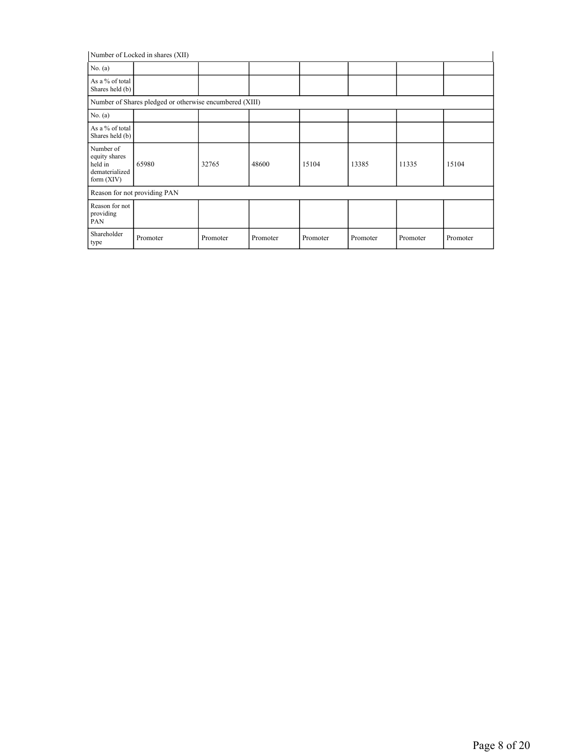| Number of Locked in shares (XII)                                        |                                                         |          |          |          |          |          |          |  |  |  |
|-------------------------------------------------------------------------|---------------------------------------------------------|----------|----------|----------|----------|----------|----------|--|--|--|
| No. $(a)$                                                               |                                                         |          |          |          |          |          |          |  |  |  |
| As a % of total<br>Shares held (b)                                      |                                                         |          |          |          |          |          |          |  |  |  |
|                                                                         | Number of Shares pledged or otherwise encumbered (XIII) |          |          |          |          |          |          |  |  |  |
| No. $(a)$                                                               |                                                         |          |          |          |          |          |          |  |  |  |
| As a % of total<br>Shares held (b)                                      |                                                         |          |          |          |          |          |          |  |  |  |
| Number of<br>equity shares<br>held in<br>dematerialized<br>form $(XIV)$ | 65980                                                   | 32765    | 48600    | 15104    | 13385    | 11335    | 15104    |  |  |  |
|                                                                         | Reason for not providing PAN                            |          |          |          |          |          |          |  |  |  |
| Reason for not<br>providing<br>PAN                                      |                                                         |          |          |          |          |          |          |  |  |  |
| Shareholder<br>type                                                     | Promoter                                                | Promoter | Promoter | Promoter | Promoter | Promoter | Promoter |  |  |  |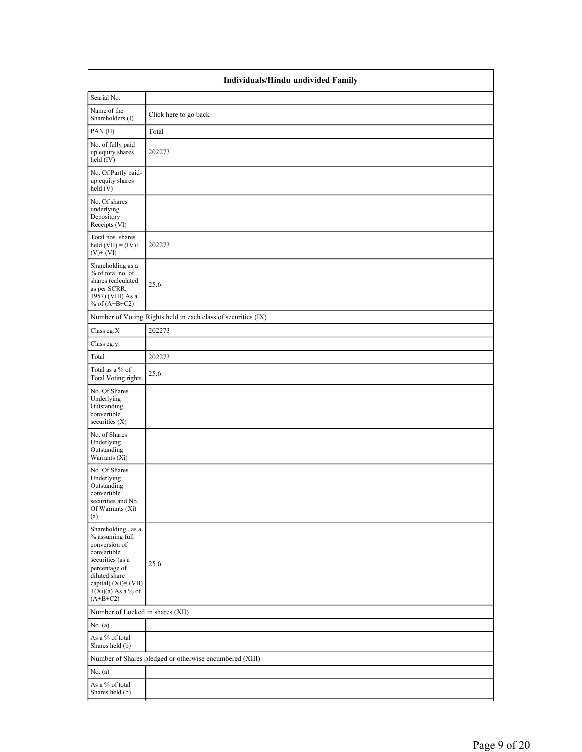| Individuals/Hindu undivided Family                                                                                                                                                        |                                                               |  |  |  |  |  |  |
|-------------------------------------------------------------------------------------------------------------------------------------------------------------------------------------------|---------------------------------------------------------------|--|--|--|--|--|--|
| Searial No.                                                                                                                                                                               |                                                               |  |  |  |  |  |  |
| Name of the<br>Shareholders (I)                                                                                                                                                           | Click here to go back                                         |  |  |  |  |  |  |
| PAN(II)                                                                                                                                                                                   | Total                                                         |  |  |  |  |  |  |
| No. of fully paid<br>up equity shares<br>held (IV)                                                                                                                                        | 202273                                                        |  |  |  |  |  |  |
| No. Of Partly paid-<br>up equity shares<br>held (V)                                                                                                                                       |                                                               |  |  |  |  |  |  |
| No. Of shares<br>underlying<br>Depository<br>Receipts (VI)                                                                                                                                |                                                               |  |  |  |  |  |  |
| Total nos. shares<br>held $(VII) = (IV) +$<br>$(V)$ + $(VI)$                                                                                                                              | 202273                                                        |  |  |  |  |  |  |
| Shareholding as a<br>% of total no. of<br>shares (calculated<br>as per SCRR,<br>1957) (VIII) As a<br>% of $(A+B+C2)$                                                                      | 25.6                                                          |  |  |  |  |  |  |
|                                                                                                                                                                                           | Number of Voting Rights held in each class of securities (IX) |  |  |  |  |  |  |
| Class eg: $X$                                                                                                                                                                             | 202273                                                        |  |  |  |  |  |  |
| Class eg:y                                                                                                                                                                                |                                                               |  |  |  |  |  |  |
| Total                                                                                                                                                                                     | 202273                                                        |  |  |  |  |  |  |
| Total as a % of<br><b>Total Voting rights</b>                                                                                                                                             | 25.6                                                          |  |  |  |  |  |  |
| No. Of Shares<br>Underlying<br>Outstanding<br>convertible<br>securities (X)                                                                                                               |                                                               |  |  |  |  |  |  |
| No. of Shares<br>Underlying<br>Outstanding<br>Warrants $(X_i)$                                                                                                                            |                                                               |  |  |  |  |  |  |
| No. Of Shares<br>Underlying<br>Outstanding<br>convertible<br>securities and No.<br>Of Warrants (Xi)<br>(a)                                                                                |                                                               |  |  |  |  |  |  |
| Shareholding, as a<br>% assuming full<br>conversion of<br>convertible<br>securities (as a<br>percentage of<br>diluted share<br>capital) (XI)= (VII)<br>$+(Xi)(a)$ As a % of<br>$(A+B+C2)$ | 25.6                                                          |  |  |  |  |  |  |
| Number of Locked in shares (XII)                                                                                                                                                          |                                                               |  |  |  |  |  |  |
| No. $(a)$                                                                                                                                                                                 |                                                               |  |  |  |  |  |  |
| As a % of total<br>Shares held (b)                                                                                                                                                        |                                                               |  |  |  |  |  |  |
|                                                                                                                                                                                           | Number of Shares pledged or otherwise encumbered (XIII)       |  |  |  |  |  |  |
| No. (a)                                                                                                                                                                                   |                                                               |  |  |  |  |  |  |
| As a % of total<br>Shares held (b)                                                                                                                                                        |                                                               |  |  |  |  |  |  |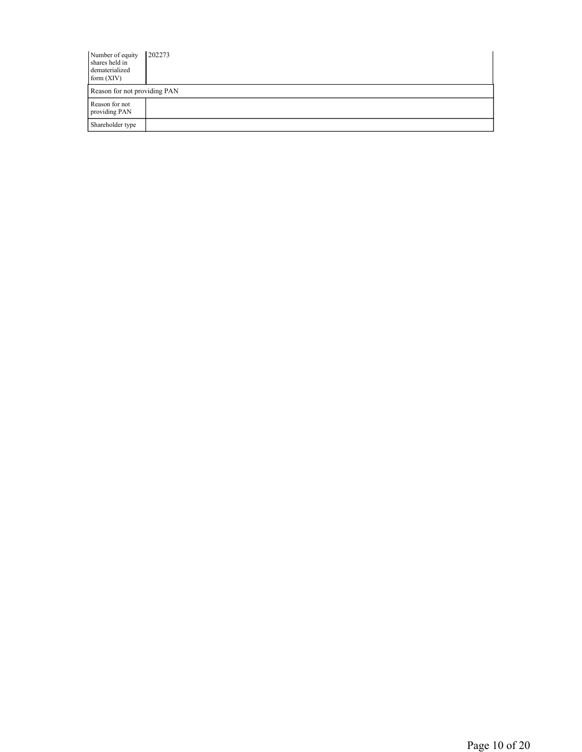| Number of equity<br>shares held in<br>dematerialized<br>form $(XIV)$ | 202273 |  |  |  |  |  |
|----------------------------------------------------------------------|--------|--|--|--|--|--|
| Reason for not providing PAN                                         |        |  |  |  |  |  |
| Reason for not<br>providing PAN                                      |        |  |  |  |  |  |
| Shareholder type                                                     |        |  |  |  |  |  |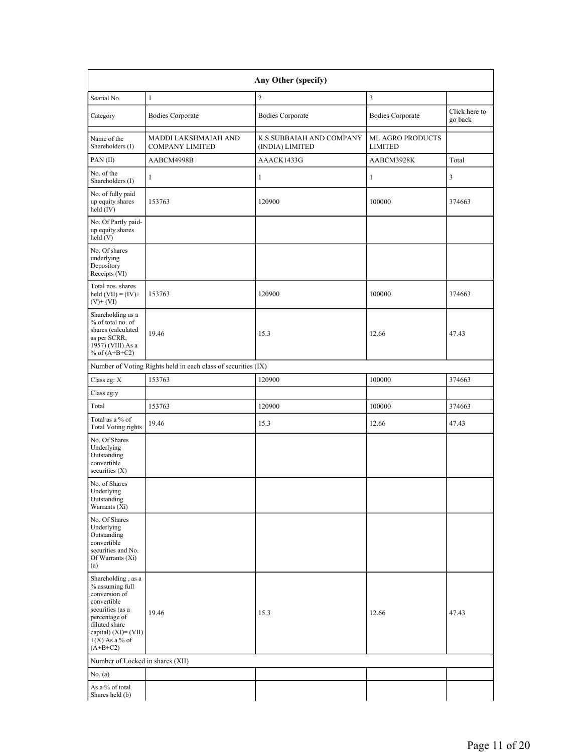|                                                                                                                                                                                       | Any Other (specify)                                           |                                             |                                           |                          |  |  |  |  |  |  |  |
|---------------------------------------------------------------------------------------------------------------------------------------------------------------------------------------|---------------------------------------------------------------|---------------------------------------------|-------------------------------------------|--------------------------|--|--|--|--|--|--|--|
| Searial No.                                                                                                                                                                           | $\mathbf{1}$                                                  | $\overline{2}$                              | 3                                         |                          |  |  |  |  |  |  |  |
| Category                                                                                                                                                                              | <b>Bodies Corporate</b>                                       | <b>Bodies Corporate</b>                     | <b>Bodies Corporate</b>                   | Click here to<br>go back |  |  |  |  |  |  |  |
| Name of the<br>Shareholders (I)                                                                                                                                                       | MADDI LAKSHMAIAH AND<br><b>COMPANY LIMITED</b>                | K.S.SUBBAIAH AND COMPANY<br>(INDIA) LIMITED | <b>ML AGRO PRODUCTS</b><br><b>LIMITED</b> |                          |  |  |  |  |  |  |  |
| PAN(II)                                                                                                                                                                               | AABCM4998B                                                    | AAACK1433G                                  | AABCM3928K                                | Total                    |  |  |  |  |  |  |  |
| No. of the<br>Shareholders (I)                                                                                                                                                        | $\mathbf{1}$                                                  | $\mathbf{1}$                                | $\mathbf{1}$                              | 3                        |  |  |  |  |  |  |  |
| No. of fully paid<br>up equity shares<br>held (IV)                                                                                                                                    | 153763                                                        | 120900                                      | 100000                                    | 374663                   |  |  |  |  |  |  |  |
| No. Of Partly paid-<br>up equity shares<br>held (V)                                                                                                                                   |                                                               |                                             |                                           |                          |  |  |  |  |  |  |  |
| No. Of shares<br>underlying<br>Depository<br>Receipts (VI)                                                                                                                            |                                                               |                                             |                                           |                          |  |  |  |  |  |  |  |
| Total nos. shares<br>held $(VII) = (IV) +$<br>$(V)$ + $(VI)$                                                                                                                          | 153763                                                        | 120900                                      | 100000                                    | 374663                   |  |  |  |  |  |  |  |
| Shareholding as a<br>% of total no. of<br>shares (calculated<br>as per SCRR,<br>1957) (VIII) As a<br>% of $(A+B+C2)$                                                                  | 19.46                                                         | 15.3                                        | 12.66                                     | 47.43                    |  |  |  |  |  |  |  |
|                                                                                                                                                                                       | Number of Voting Rights held in each class of securities (IX) |                                             |                                           |                          |  |  |  |  |  |  |  |
| Class eg: X                                                                                                                                                                           | 153763                                                        | 120900                                      | 100000                                    | 374663                   |  |  |  |  |  |  |  |
| Class eg:y                                                                                                                                                                            |                                                               |                                             |                                           |                          |  |  |  |  |  |  |  |
| Total                                                                                                                                                                                 | 153763                                                        | 120900                                      | 100000                                    | 374663                   |  |  |  |  |  |  |  |
| Total as a % of<br>Total Voting rights                                                                                                                                                | 19.46                                                         | 15.3                                        | 12.66                                     | 47.43                    |  |  |  |  |  |  |  |
| No. Of Shares<br>Underlying<br>Outstanding<br>convertible<br>securities $(X)$                                                                                                         |                                                               |                                             |                                           |                          |  |  |  |  |  |  |  |
| No. of Shares<br>Underlying<br>Outstanding<br>Warrants (Xi)                                                                                                                           |                                                               |                                             |                                           |                          |  |  |  |  |  |  |  |
| No. Of Shares<br>Underlying<br>Outstanding<br>convertible<br>securities and No.<br>Of Warrants (Xi)<br>(a)                                                                            |                                                               |                                             |                                           |                          |  |  |  |  |  |  |  |
| Shareholding, as a<br>% assuming full<br>conversion of<br>convertible<br>securities (as a<br>percentage of<br>diluted share<br>capital) (XI)= (VII)<br>$+(X)$ As a % of<br>$(A+B+C2)$ | 19.46                                                         | 15.3                                        | 12.66                                     | 47.43                    |  |  |  |  |  |  |  |
| Number of Locked in shares (XII)                                                                                                                                                      |                                                               |                                             |                                           |                          |  |  |  |  |  |  |  |
| No. $(a)$                                                                                                                                                                             |                                                               |                                             |                                           |                          |  |  |  |  |  |  |  |
| As a % of total<br>Shares held (b)                                                                                                                                                    |                                                               |                                             |                                           |                          |  |  |  |  |  |  |  |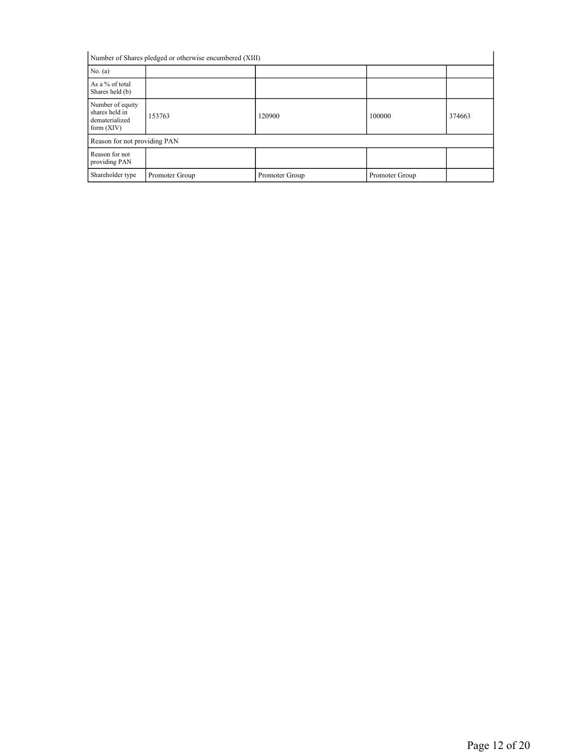| Number of Shares pledged or otherwise encumbered (XIII)              |                |                |                |        |  |  |  |  |
|----------------------------------------------------------------------|----------------|----------------|----------------|--------|--|--|--|--|
| No. $(a)$                                                            |                |                |                |        |  |  |  |  |
| As a % of total<br>Shares held (b)                                   |                |                |                |        |  |  |  |  |
| Number of equity<br>shares held in<br>dematerialized<br>form $(XIV)$ | 153763         | 120900         | 100000         | 374663 |  |  |  |  |
| Reason for not providing PAN                                         |                |                |                |        |  |  |  |  |
| Reason for not<br>providing PAN                                      |                |                |                |        |  |  |  |  |
| Shareholder type                                                     | Promoter Group | Promoter Group | Promoter Group |        |  |  |  |  |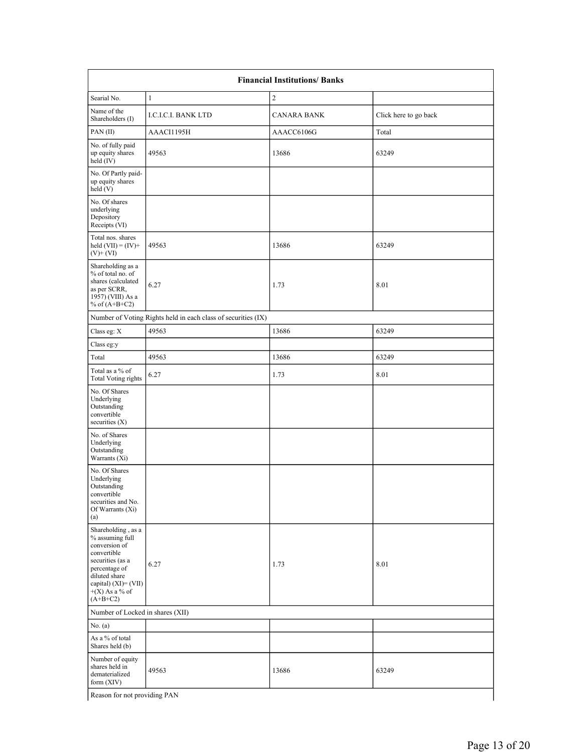| <b>Financial Institutions/ Banks</b>                                                                                                                                                  |                                                               |                    |                       |
|---------------------------------------------------------------------------------------------------------------------------------------------------------------------------------------|---------------------------------------------------------------|--------------------|-----------------------|
| Searial No.                                                                                                                                                                           | $\mathbf{1}$                                                  | $\overline{c}$     |                       |
| Name of the<br>Shareholders (I)                                                                                                                                                       | <b>I.C.I.C.I. BANK LTD</b>                                    | <b>CANARA BANK</b> | Click here to go back |
| PAN(II)                                                                                                                                                                               | AAACI1195H                                                    | AAACC6106G         | Total                 |
| No. of fully paid<br>up equity shares<br>held $(IV)$                                                                                                                                  | 49563                                                         | 13686              | 63249                 |
| No. Of Partly paid-<br>up equity shares<br>held(V)                                                                                                                                    |                                                               |                    |                       |
| No. Of shares<br>underlying<br>Depository<br>Receipts (VI)                                                                                                                            |                                                               |                    |                       |
| Total nos. shares<br>held $(VII) = (IV) +$<br>$(V)$ + $(VI)$                                                                                                                          | 49563                                                         | 13686              | 63249                 |
| Shareholding as a<br>% of total no. of<br>shares (calculated<br>as per SCRR,<br>$1957$ ) (VIII) As a<br>% of $(A+B+C2)$                                                               | 6.27                                                          | 1.73               | 8.01                  |
|                                                                                                                                                                                       | Number of Voting Rights held in each class of securities (IX) |                    |                       |
| Class eg: X                                                                                                                                                                           | 49563                                                         | 13686              | 63249                 |
| Class eg:y                                                                                                                                                                            |                                                               |                    |                       |
| Total                                                                                                                                                                                 | 49563                                                         | 13686              | 63249                 |
| Total as a % of<br>Total Voting rights                                                                                                                                                | 6.27                                                          | 1.73               | 8.01                  |
| No. Of Shares<br>Underlying<br>Outstanding<br>convertible<br>securities $(X)$                                                                                                         |                                                               |                    |                       |
| No. of Shares<br>Underlying<br>Outstanding<br>Warrants (Xi)                                                                                                                           |                                                               |                    |                       |
| No. Of Shares<br>Underlying<br>Outstanding<br>convertible<br>securities and No.<br>Of Warrants (Xi)<br>(a)                                                                            |                                                               |                    |                       |
| Shareholding, as a<br>% assuming full<br>conversion of<br>convertible<br>securities (as a<br>percentage of<br>diluted share<br>capital) (XI)= (VII)<br>$+(X)$ As a % of<br>$(A+B+C2)$ | 6.27                                                          | 1.73               | 8.01                  |
| Number of Locked in shares (XII)                                                                                                                                                      |                                                               |                    |                       |
| No. (a)                                                                                                                                                                               |                                                               |                    |                       |
| As a % of total<br>Shares held (b)                                                                                                                                                    |                                                               |                    |                       |
| Number of equity<br>shares held in<br>dematerialized<br>form $(XIV)$                                                                                                                  | 49563                                                         | 13686              | 63249                 |
| Reason for not providing PAN                                                                                                                                                          |                                                               |                    |                       |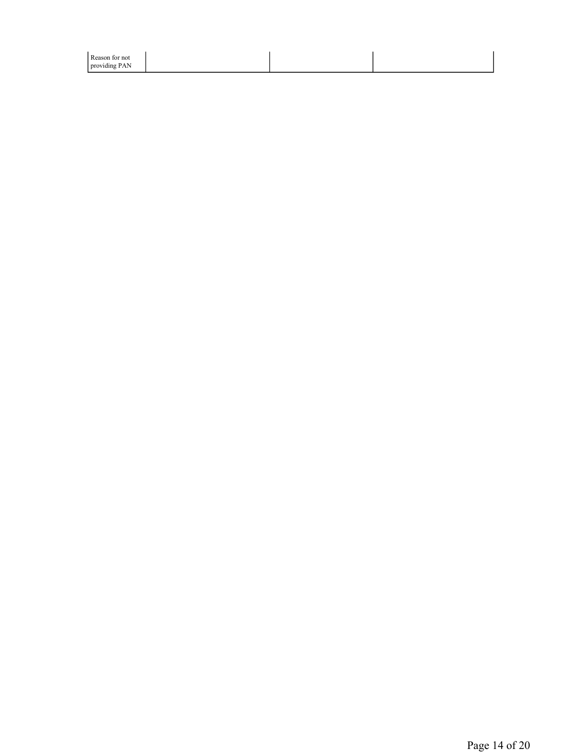| Reason for not |  |  |
|----------------|--|--|
| providing PAN  |  |  |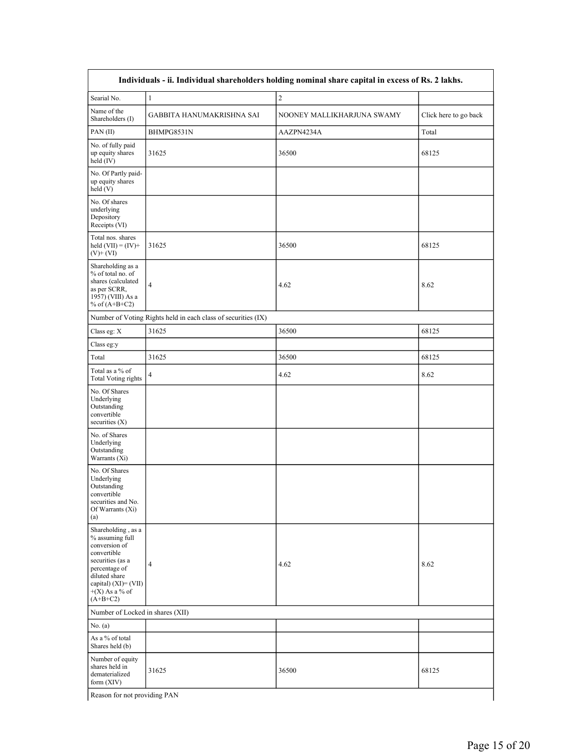|                                                                                                                                                                                       |                                                               | Individuals - ii. Individual shareholders holding nominal share capital in excess of Rs. 2 lakhs. |                       |
|---------------------------------------------------------------------------------------------------------------------------------------------------------------------------------------|---------------------------------------------------------------|---------------------------------------------------------------------------------------------------|-----------------------|
| Searial No.                                                                                                                                                                           | $\mathbf{1}$                                                  | $\overline{c}$                                                                                    |                       |
| Name of the<br>Shareholders (I)                                                                                                                                                       | GABBITA HANUMAKRISHNA SAI                                     | NOONEY MALLIKHARJUNA SWAMY                                                                        | Click here to go back |
| PAN(II)                                                                                                                                                                               | BHMPG8531N                                                    | AAZPN4234A                                                                                        | Total                 |
| No. of fully paid<br>up equity shares<br>held (IV)                                                                                                                                    | 31625                                                         | 36500                                                                                             | 68125                 |
| No. Of Partly paid-<br>up equity shares<br>held(V)                                                                                                                                    |                                                               |                                                                                                   |                       |
| No. Of shares<br>underlying<br>Depository<br>Receipts (VI)                                                                                                                            |                                                               |                                                                                                   |                       |
| Total nos. shares<br>held $(VII) = (IV) +$<br>$(V)$ + $(VI)$                                                                                                                          | 31625                                                         | 36500                                                                                             | 68125                 |
| Shareholding as a<br>% of total no. of<br>shares (calculated<br>as per SCRR,<br>1957) (VIII) As a<br>% of $(A+B+C2)$                                                                  | $\overline{4}$                                                | 4.62                                                                                              | 8.62                  |
|                                                                                                                                                                                       | Number of Voting Rights held in each class of securities (IX) |                                                                                                   |                       |
| Class eg: X                                                                                                                                                                           | 31625                                                         | 36500                                                                                             | 68125                 |
| Class eg:y                                                                                                                                                                            |                                                               |                                                                                                   |                       |
| Total                                                                                                                                                                                 | 31625                                                         | 36500                                                                                             | 68125                 |
| Total as a % of<br>Total Voting rights                                                                                                                                                | $\overline{4}$                                                | 4.62                                                                                              | 8.62                  |
| No. Of Shares<br>Underlying<br>Outstanding<br>convertible<br>securities $(X)$                                                                                                         |                                                               |                                                                                                   |                       |
| No. of Shares<br>Underlying<br>Outstanding<br>Warrants (Xi)                                                                                                                           |                                                               |                                                                                                   |                       |
| No. Of Shares<br>Underlying<br>Outstanding<br>convertible<br>securities and No.<br>Of Warrants $(X_i)$<br>(a)                                                                         |                                                               |                                                                                                   |                       |
| Shareholding, as a<br>% assuming full<br>conversion of<br>convertible<br>securities (as a<br>percentage of<br>diluted share<br>capital) (XI)= (VII)<br>$+(X)$ As a % of<br>$(A+B+C2)$ | $\overline{4}$                                                | 4.62                                                                                              | 8.62                  |
| Number of Locked in shares (XII)                                                                                                                                                      |                                                               |                                                                                                   |                       |
| No. $(a)$                                                                                                                                                                             |                                                               |                                                                                                   |                       |
| As a % of total<br>Shares held (b)                                                                                                                                                    |                                                               |                                                                                                   |                       |
| Number of equity<br>shares held in<br>dematerialized<br>form (XIV)                                                                                                                    | 31625                                                         | 36500                                                                                             | 68125                 |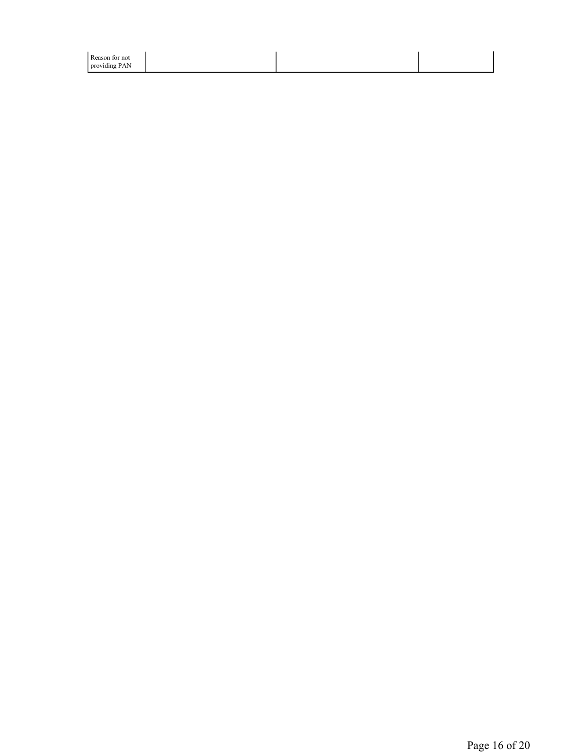| Reason for not |  |  |
|----------------|--|--|
| providing PAN  |  |  |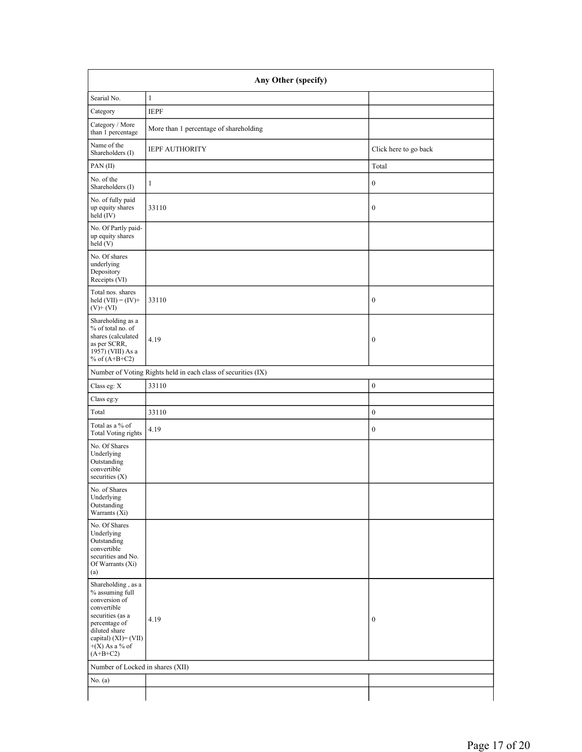| Any Other (specify)                                                                                                                                                                      |                                                               |                       |  |
|------------------------------------------------------------------------------------------------------------------------------------------------------------------------------------------|---------------------------------------------------------------|-----------------------|--|
| Searial No.                                                                                                                                                                              | $\mathbf{1}$                                                  |                       |  |
| Category                                                                                                                                                                                 | <b>IEPF</b>                                                   |                       |  |
| Category / More<br>than 1 percentage                                                                                                                                                     | More than 1 percentage of shareholding                        |                       |  |
| Name of the<br>Shareholders (I)                                                                                                                                                          | <b>IEPF AUTHORITY</b>                                         | Click here to go back |  |
| PAN(II)                                                                                                                                                                                  |                                                               | Total                 |  |
| No. of the<br>Shareholders (I)                                                                                                                                                           | 1                                                             | $\boldsymbol{0}$      |  |
| No. of fully paid<br>up equity shares<br>held $(IV)$                                                                                                                                     | 33110                                                         | $\boldsymbol{0}$      |  |
| No. Of Partly paid-<br>up equity shares<br>held(V)                                                                                                                                       |                                                               |                       |  |
| No. Of shares<br>underlying<br>Depository<br>Receipts (VI)                                                                                                                               |                                                               |                       |  |
| Total nos. shares<br>held $(VII) = (IV) +$<br>$(V)$ + $(VI)$                                                                                                                             | 33110                                                         | $\boldsymbol{0}$      |  |
| Shareholding as a<br>% of total no. of<br>shares (calculated<br>as per SCRR,<br>1957) (VIII) As a<br>% of $(A+B+C2)$                                                                     | 4.19                                                          | $\boldsymbol{0}$      |  |
|                                                                                                                                                                                          | Number of Voting Rights held in each class of securities (IX) |                       |  |
| Class eg: X                                                                                                                                                                              | 33110                                                         | $\boldsymbol{0}$      |  |
| Class eg:y                                                                                                                                                                               |                                                               |                       |  |
| Total                                                                                                                                                                                    | 33110                                                         | $\boldsymbol{0}$      |  |
| Total as a % of<br><b>Total Voting rights</b>                                                                                                                                            | 4.19                                                          | $\boldsymbol{0}$      |  |
| No. Of Shares<br>Underlying<br>Outstanding<br>convertible<br>securities $(X)$                                                                                                            |                                                               |                       |  |
| No. of Shares<br>Underlying<br>Outstanding<br>Warrants $(X_i)$                                                                                                                           |                                                               |                       |  |
| No. Of Shares<br>Underlying<br>Outstanding<br>convertible<br>securities and No.<br>Of Warrants (Xi)<br>(a)                                                                               |                                                               |                       |  |
| Shareholding, as a<br>% assuming full<br>conversion of<br>convertible<br>securities (as a<br>percentage of<br>diluted share<br>capital) $(XI) = (VII)$<br>$+(X)$ As a % of<br>$(A+B+C2)$ | 4.19                                                          | $\boldsymbol{0}$      |  |
| Number of Locked in shares (XII)                                                                                                                                                         |                                                               |                       |  |
| No. (a)                                                                                                                                                                                  |                                                               |                       |  |
|                                                                                                                                                                                          |                                                               |                       |  |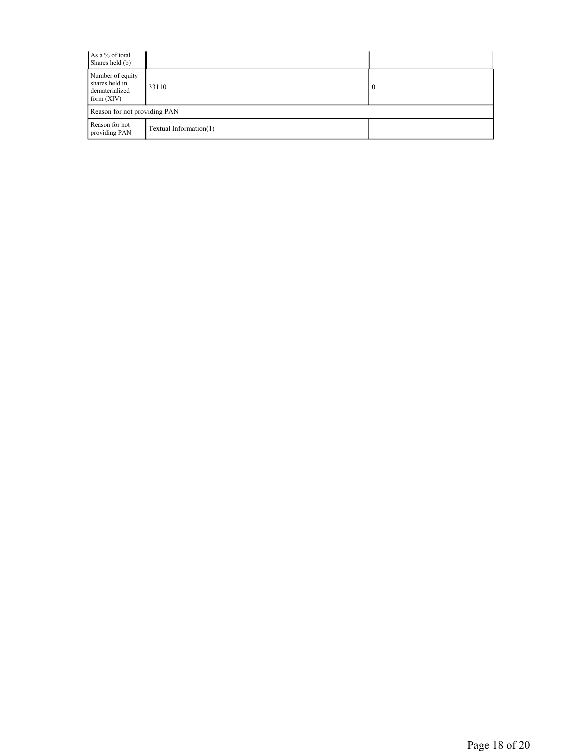| As a % of total<br>Shares held (b)                                   |                        |          |
|----------------------------------------------------------------------|------------------------|----------|
| Number of equity<br>shares held in<br>dematerialized<br>form $(XIV)$ | 33110                  | $\bf{0}$ |
| Reason for not providing PAN                                         |                        |          |
| Reason for not<br>providing PAN                                      | Textual Information(1) |          |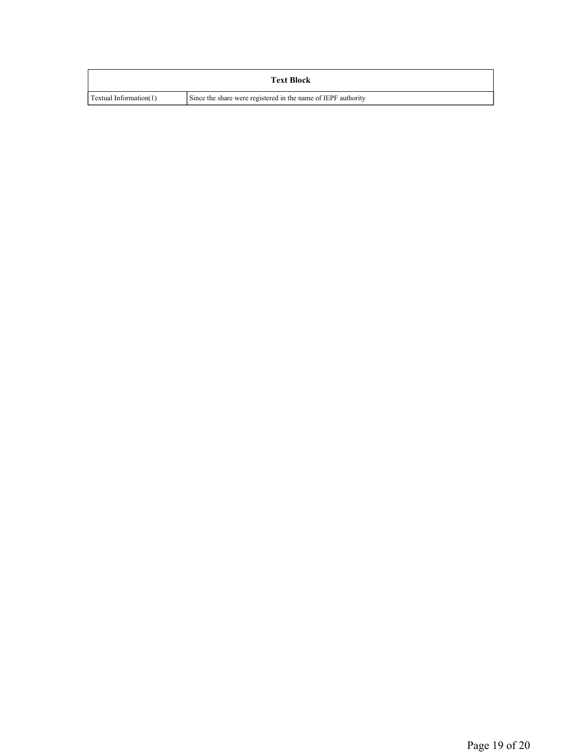|                        | <b>Text Block</b>                                             |
|------------------------|---------------------------------------------------------------|
| Textual Information(1) | Since the share were registered in the name of IEPF authority |